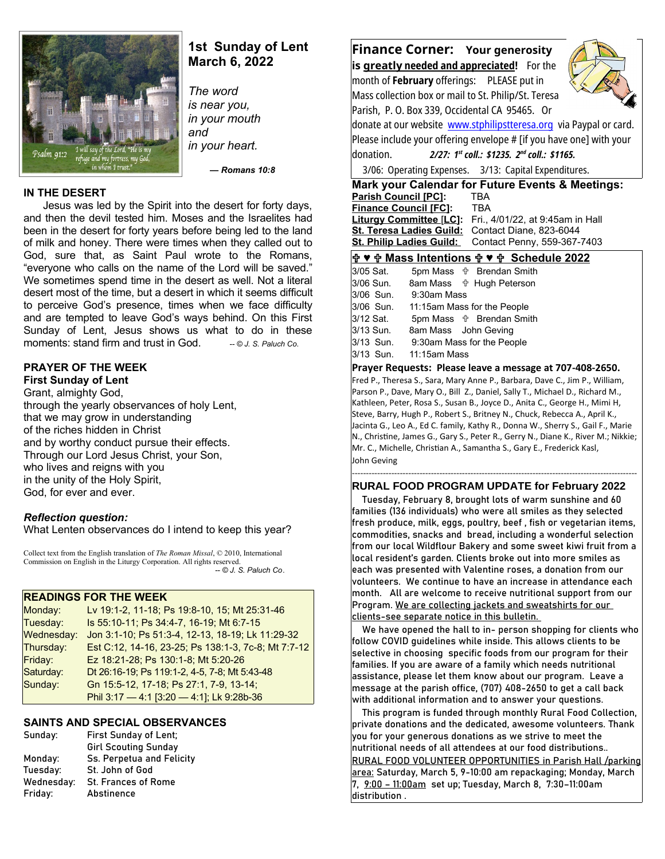

# **1st Sunday of Lent March 6, 2022**

*The word is near you, in your mouth and in your heart.*

 *— Romans 10:8*

## **IN THE DESERT**

Jesus was led by the Spirit into the desert for forty days, and then the devil tested him. Moses and the Israelites had been in the desert for forty years before being led to the land of milk and honey. There were times when they called out to God, sure that, as Saint Paul wrote to the Romans, "everyone who calls on the name of the Lord will be saved." We sometimes spend time in the desert as well. Not a literal desert most of the time, but a desert in which it seems difficult to perceive God's presence, times when we face difficulty and are tempted to leave God's ways behind. On this First Sunday of Lent, Jesus shows us what to do in these moments: stand firm and trust in God. **-- © J. S. Paluch Co.** 

# **PRAYER OF THE WEEK**

**First Sunday of Lent** Grant, almighty God, through the yearly observances of holy Lent, that we may grow in understanding of the riches hidden in Christ and by worthy conduct pursue their effects. Through our Lord Jesus Christ, your Son, who lives and reigns with you in the unity of the Holy Spirit, God, for ever and ever.

## *Reflection question:*

What Lenten observances do I intend to keep this year?

Collect text from the English translation of *The Roman Missal*, © 2010, International Commission on English in the Liturgy Corporation. All rights reserved.  *-- © J. S. Paluch Co*.

## **READINGS FOR THE WEEK**

| Monday:    | Lv 19:1-2, 11-18; Ps 19:8-10, 15; Mt 25:31-46       |
|------------|-----------------------------------------------------|
| Tuesday:   | Is 55:10-11; Ps 34:4-7, 16-19; Mt 6:7-15            |
| Wednesday: | Jon 3:1-10; Ps 51:3-4, 12-13, 18-19; Lk 11:29-32    |
| Thursday:  | Est C:12, 14-16, 23-25; Ps 138:1-3, 7c-8; Mt 7:7-12 |
| Friday:    | Ez 18:21-28; Ps 130:1-8; Mt 5:20-26                 |
| Saturday:  | Dt 26:16-19; Ps 119:1-2, 4-5, 7-8; Mt 5:43-48       |
| Sunday:    | Gn 15:5-12, 17-18; Ps 27:1, 7-9, 13-14;             |
|            | Phil 3:17 - 4:1 [3:20 - 4:1]; Lk 9:28b-36           |

## **SAINTS AND SPECIAL OBSERVANCES**

| Sunday:    | First Sunday of Lent;       |
|------------|-----------------------------|
|            | <b>Girl Scouting Sunday</b> |
| Monday:    | Ss. Perpetua and Felicity   |
| Tuesday:   | St. John of God             |
| Wednesday: | <b>St. Frances of Rome</b>  |
| Friday:    | Abstinence                  |

**Finance Corner: Your generosity is greatl y needed and appreciated!** For the month of **February** offerings: PLEASE put in Mass collection box or mail to St. Philip/St. Teresa Parish, P. O. Box 339, Occidental CA 95465. Or donate at our website [www.stphilipstteresa.org](http://www.stphilipstteresa.org/) via Paypal or card. Please include your offering envelope # [if you have one] with your donation. *2/27: 1st coll.: \$1235. 2nd coll.: \$1165.* 3/06: Operating Expenses. 3/13: Capital Expenditures.

**Mark your Calendar for Future Events & Meetings: Parish Council [PC]:** TBA<br>**Finance Council [FC]:** TBA

**Finance Council [FC]: Liturgy Committee** [**LC]:** Fri., 4/01/22, at 9:45am in Hall **St. Teresa Ladies Guild:** Contact Diane, 823-6044 St. Philip Ladies Guild: Contact Penny, 559-367-7403

## **♥ Mass Intentions ♥ Schedule 2022**

| 3/05 Sat. | 5pm Mass <b>the Brendan Smith</b> |
|-----------|-----------------------------------|
| 3/06 Sun. | 8am Mass <b>the Hugh Peterson</b> |
| 3/06 Sun. | 9:30am Mass                       |
| 3/06 Sun. | 11:15am Mass for the People       |
| 3/12 Sat. | 5pm Mass $\psi$ Brendan Smith     |
| 3/13 Sun. | 8am Mass John Geving              |
| 3/13 Sun. | 9:30am Mass for the People        |
| 3/13 Sun. | 11:15am Mass                      |

#### **Prayer Requests: Please leave a message at 707-408-2650.**

Fred P., Theresa S., Sara, Mary Anne P., Barbara, Dave C., Jim P., William, Parson P., Dave, Mary O., Bill Z., Daniel, Sally T., Michael D., Richard M., Kathleen, Peter, Rosa S., Susan B., Joyce D., Anita C., George H., Mimi H, Steve, Barry, Hugh P., Robert S., Britney N., Chuck, Rebecca A., April K., Jacinta G., Leo A., Ed C. family, Kathy R., Donna W., Sherry S., Gail F., Marie N., Christine, James G., Gary S., Peter R., Gerry N., Diane K., River M.; Nikkie; Mr. C., Michelle, Christian A., Samantha S., Gary E., Frederick Kasl, John Geving

#### ----------------------------------------------------------------------------------------------------- **RURAL FOOD PROGRAM UPDATE for February 2022**

 Tuesday, February 8, brought lots of warm sunshine and 60 families (136 individuals) who were all smiles as they selected fresh produce, milk, eggs, poultry, beef , fish or vegetarian items, commodities, snacks and bread, including a wonderful selection from our local Wildflour Bakery and some sweet kiwi fruit from a local resident's garden. Clients broke out into more smiles as each was presented with Valentine roses, a donation from our volunteers. We continue to have an increase in attendance each month. All are welcome to receive nutritional support from our Program. We are collecting jackets and sweatshirts for our clients-see separate notice in this bulletin.

 We have opened the hall to in- person shopping for clients who follow COVID guidelines while inside. This allows clients to be selective in choosing specific foods from our program for their families. If you are aware of a family which needs nutritional assistance, please let them know about our program. Leave a message at the parish office, (707) 408-2650 to get a call back with additional information and to answer your questions.

 This program is funded through monthly Rural Food Collection, private donations and the dedicated, awesome volunteers. Thank  $\mid$ vou for vour generous donations as we strive to meet the nutritional needs of all attendees at our food distributions.. RURAL FOOD VOLUNTEER OPPORTUNITIES in Parish Hall /parking area: Saturday, March 5, 9-10:00 am repackaging; Monday, March 7, 9:00 – 11:00am set up; Tuesday, March 8, 7:30–11:00am distribution .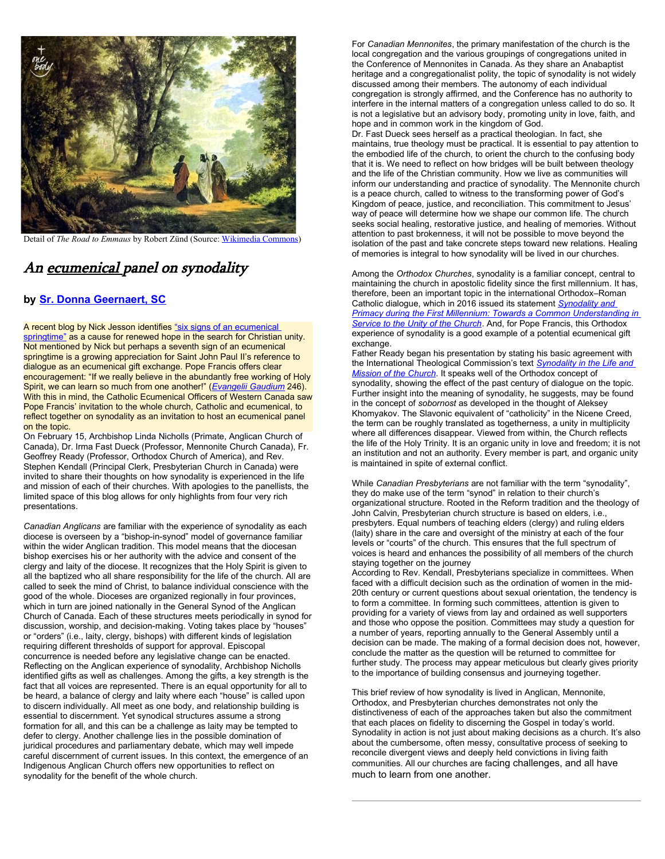

Detail of *The Road to Emmaus* by Robert Zünd (Source: [Wikimedia Commons\)](https://commons.wikimedia.org/wiki/File:Z%C3%BCnd_Gang_nach_Emmaus_1877.jpg)

# An ecumenical panel on synodality

#### **by [Sr. Donna Geernaert, SC](https://slmedia.org/blog/an-ecumenical-panel-on-synodality-one-body)**

A recent blog by Nick Jesson identifies ["six signs of an ecumenical](https://slmedia.org/blog/six-signs-of-an-ecumenical-springtime-one-body)  [springtime"](https://slmedia.org/blog/six-signs-of-an-ecumenical-springtime-one-body) as a cause for renewed hope in the search for Christian unity. Not mentioned by Nick but perhaps a seventh sign of an ecumenical springtime is a growing appreciation for Saint John Paul II's reference to dialogue as an ecumenical gift exchange. Pope Francis offers clear encouragement: "If we really believe in the abundantly free working of Holy Spirit, we can learn so much from one another!" (*[Evangelii Gaudium](https://www.vatican.va/content/francesco/en/apost_exhortations/documents/papa-francesco_esortazione-ap_20131124_evangelii-gaudium.html)* 246). With this in mind, the Catholic Ecumenical Officers of Western Canada saw Pope Francis' invitation to the whole church, Catholic and ecumenical, to reflect together on synodality as an invitation to host an ecumenical panel on the topic.

On February 15, Archbishop Linda Nicholls (Primate, Anglican Church of Canada), Dr. Irma Fast Dueck (Professor, Mennonite Church Canada), Fr. Geoffrey Ready (Professor, Orthodox Church of America), and Rev. Stephen Kendall (Principal Clerk, Presbyterian Church in Canada) were invited to share their thoughts on how synodality is experienced in the life and mission of each of their churches. With apologies to the panellists, the limited space of this blog allows for only highlights from four very rich presentations.

*Canadian Anglicans* are familiar with the experience of synodality as each diocese is overseen by a "bishop-in-synod" model of governance familiar within the wider Anglican tradition. This model means that the diocesan bishop exercises his or her authority with the advice and consent of the clergy and laity of the diocese. It recognizes that the Holy Spirit is given to all the baptized who all share responsibility for the life of the church. All are called to seek the mind of Christ, to balance individual conscience with the good of the whole. Dioceses are organized regionally in four provinces, which in turn are joined nationally in the General Synod of the Anglican Church of Canada. Each of these structures meets periodically in synod for discussion, worship, and decision-making. Voting takes place by "houses" or "orders" (i.e., laity, clergy, bishops) with different kinds of legislation requiring different thresholds of support for approval. Episcopal concurrence is needed before any legislative change can be enacted. Reflecting on the Anglican experience of synodality, Archbishop Nicholls identified gifts as well as challenges. Among the gifts, a key strength is the fact that all voices are represented. There is an equal opportunity for all to be heard, a balance of clergy and laity where each "house" is called upon to discern individually. All meet as one body, and relationship building is essential to discernment. Yet synodical structures assume a strong formation for all, and this can be a challenge as laity may be tempted to defer to clergy. Another challenge lies in the possible domination of juridical procedures and parliamentary debate, which may well impede careful discernment of current issues. In this context, the emergence of an Indigenous Anglican Church offers new opportunities to reflect on synodality for the benefit of the whole church.

For *Canadian Mennonites*, the primary manifestation of the church is the local congregation and the various groupings of congregations united in the Conference of Mennonites in Canada. As they share an Anabaptist heritage and a congregationalist polity, the topic of synodality is not widely discussed among their members. The autonomy of each individual congregation is strongly affirmed, and the Conference has no authority to interfere in the internal matters of a congregation unless called to do so. It is not a legislative but an advisory body, promoting unity in love, faith, and hope and in common work in the kingdom of God.

Dr. Fast Dueck sees herself as a practical theologian. In fact, she maintains, true theology must be practical. It is essential to pay attention to the embodied life of the church, to orient the church to the confusing body that it is. We need to reflect on how bridges will be built between theology and the life of the Christian community. How we live as communities will inform our understanding and practice of synodality. The Mennonite church is a peace church, called to witness to the transforming power of God's Kingdom of peace, justice, and reconciliation. This commitment to Jesus' way of peace will determine how we shape our common life. The church seeks social healing, restorative justice, and healing of memories. Without attention to past brokenness, it will not be possible to move beyond the isolation of the past and take concrete steps toward new relations. Healing of memories is integral to how synodality will be lived in our churches.

Among the *Orthodox Churches*, synodality is a familiar concept, central to maintaining the church in apostolic fidelity since the first millennium. It has, therefore, been an important topic in the international Orthodox–Roman Catholic dialogue, which in 2016 issued its statement *[Synodality and](http://www.christianunity.va/content/unitacristiani/en/dialoghi/sezione-orientale/chiese-ortodosse-di-tradizione-bizantina/commissione-mista-internazionale-per-il-dialogo-teologico-tra-la/documenti-di-dialogo/testo-in-inglese1.html)*  **Primacy during the First Millennium: Towards a Common Understanding in** *[Service to the Unity of the Church](http://www.christianunity.va/content/unitacristiani/en/dialoghi/sezione-orientale/chiese-ortodosse-di-tradizione-bizantina/commissione-mista-internazionale-per-il-dialogo-teologico-tra-la/documenti-di-dialogo/testo-in-inglese1.html)*. And, for Pope Francis, this Orthodox experience of synodality is a good example of a potential ecumenical gift exchange.

Father Ready began his presentation by stating his basic agreement with the International Theological Commission's text *[Synodality in the Life and](https://www.vatican.va/roman_curia/congregations/cfaith/cti_documents/rc_cti_20180302_sinodalita_en.html)  [Mission of the Church](https://www.vatican.va/roman_curia/congregations/cfaith/cti_documents/rc_cti_20180302_sinodalita_en.html)*. It speaks well of the Orthodox concept of synodality, showing the effect of the past century of dialogue on the topic. Further insight into the meaning of synodality, he suggests, may be found in the concept of *sobornost* as developed in the thought of Aleksey Khomyakov. The Slavonic equivalent of "catholicity" in the Nicene Creed, the term can be roughly translated as togetherness, a unity in multiplicity where all differences disappear. Viewed from within, the Church reflects the life of the Holy Trinity. It is an organic unity in love and freedom; it is not an institution and not an authority. Every member is part, and organic unity is maintained in spite of external conflict.

While *Canadian Presbyterians* are not familiar with the term "synodality", they do make use of the term "synod" in relation to their church's organizational structure. Rooted in the Reform tradition and the theology of John Calvin, Presbyterian church structure is based on elders, i.e., presbyters. Equal numbers of teaching elders (clergy) and ruling elders (laity) share in the care and oversight of the ministry at each of the four levels or "courts" of the church. This ensures that the full spectrum of voices is heard and enhances the possibility of all members of the church staying together on the journey

According to Rev. Kendall, Presbyterians specialize in committees. When faced with a difficult decision such as the ordination of women in the mid-20th century or current questions about sexual orientation, the tendency is to form a committee. In forming such committees, attention is given to providing for a variety of views from lay and ordained as well supporters and those who oppose the position. Committees may study a question for a number of years, reporting annually to the General Assembly until a decision can be made. The making of a formal decision does not, however, conclude the matter as the question will be returned to committee for further study. The process may appear meticulous but clearly gives priority to the importance of building consensus and journeying together.

This brief review of how synodality is lived in Anglican, Mennonite, Orthodox, and Presbyterian churches demonstrates not only the distinctiveness of each of the approaches taken but also the commitment that each places on fidelity to discerning the Gospel in today's world. Synodality in action is not just about making decisions as a church. It's also about the cumbersome, often messy, consultative process of seeking to reconcile divergent views and deeply held convictions in living faith communities. All our churches are facing challenges, and all have much to learn from one another.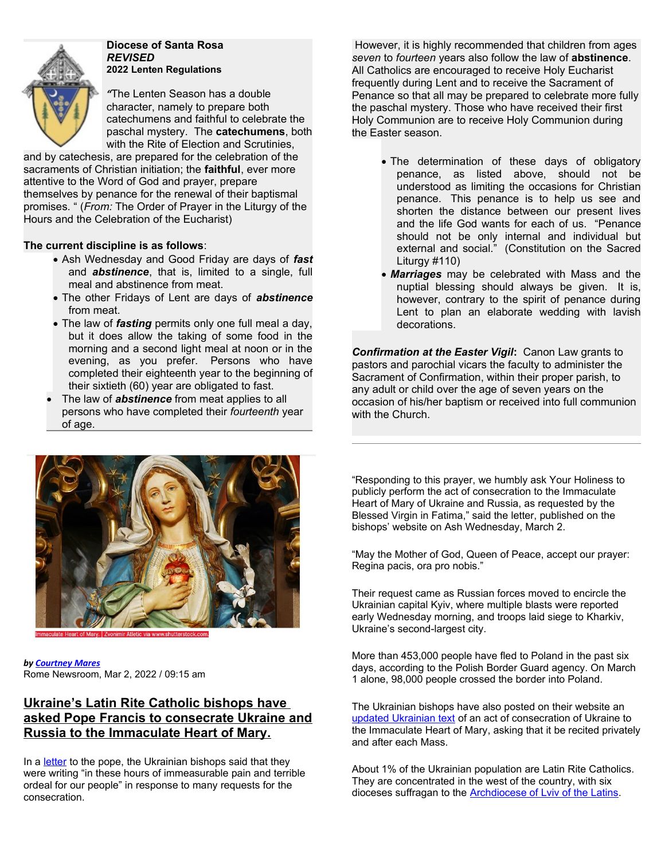

**Diocese of Santa Rosa** *REVISED*  **2022 Lenten Regulations**

*"*The Lenten Season has a double character, namely to prepare both catechumens and faithful to celebrate the paschal mystery. The **catechumens**, both with the Rite of Election and Scrutinies,

and by catechesis, are prepared for the celebration of the sacraments of Christian initiation; the **faithful**, ever more attentive to the Word of God and prayer, prepare themselves by penance for the renewal of their baptismal promises. " (*From:* The Order of Prayer in the Liturgy of the Hours and the Celebration of the Eucharist)

## **The current discipline is as follows**:

- Ash Wednesday and Good Friday are days of *fast* and *abstinence*, that is, limited to a single, full meal and abstinence from meat.
- The other Fridays of Lent are days of *abstinence* from meat.
- The law of *fasting* permits only one full meal a day, but it does allow the taking of some food in the morning and a second light meal at noon or in the evening, as you prefer. Persons who have completed their eighteenth year to the beginning of their sixtieth (60) year are obligated to fast.
- The law of *abstinence* from meat applies to all persons who have completed their *fourteenth* year of age.

However, it is highly recommended that children from ages *seven* to *fourteen* years also follow the law of **abstinence**. All Catholics are encouraged to receive Holy Eucharist frequently during Lent and to receive the Sacrament of Penance so that all may be prepared to celebrate more fully the paschal mystery. Those who have received their first Holy Communion are to receive Holy Communion during the Easter season.

- The determination of these days of obligatory penance, as listed above, should not be understood as limiting the occasions for Christian penance. This penance is to help us see and shorten the distance between our present lives and the life God wants for each of us. "Penance should not be only internal and individual but external and social." (Constitution on the Sacred Liturgy #110)
- *Marriages* may be celebrated with Mass and the nuptial blessing should always be given. It is, however, contrary to the spirit of penance during Lent to plan an elaborate wedding with lavish decorations.

*Confirmation at the Easter Vigil***:** Canon Law grants to pastors and parochial vicars the faculty to administer the Sacrament of Confirmation, within their proper parish, to any adult or child over the age of seven years on the occasion of his/her baptism or received into full communion with the Church.



*by [Courtney Mares](https://www.catholicnewsagency.com/author/421/courtney-mares)* Rome Newsroom, Mar 2, 2022 / 09:15 am

# **Ukraine's Latin Rite Catholic bishops have asked Pope Francis to consecrate Ukraine and Russia to the Immaculate Heart of Mary.**

In a [letter](http://kmc.media/2022/03/02/yepyskopy-ukrayiny-prosyat-papu-prysvyatyty-ukrayinu-ta-rosiyu-sercyu-mariyi.html) to the pope, the Ukrainian bishops said that they were writing "in these hours of immeasurable pain and terrible ordeal for our people" in response to many requests for the consecration.

"Responding to this prayer, we humbly ask Your Holiness to publicly perform the act of consecration to the Immaculate Heart of Mary of Ukraine and Russia, as requested by the Blessed Virgin in Fatima," said the letter, published on the bishops' website on Ash Wednesday, March 2.

"May the Mother of God, Queen of Peace, accept our prayer: Regina pacis, ora pro nobis."

Their request came as Russian forces moved to encircle the Ukrainian capital Kyiv, where multiple blasts were reported early Wednesday morning, and troops laid siege to Kharkiv, Ukraine's second-largest city.

More than 453,000 people have fled to Poland in the past six days, according to the Polish Border Guard agency. On March 1 alone, 98,000 people crossed the border into Poland.

The Ukrainian bishops have also posted on their website an [updated Ukrainian text](http://kmc.media/2022/02/25/yepyskopat-ukrayiny-oprylyudnyv-onovlenyy-tekst-aktu-prysvyachennya-sercyu-mariyi.html) of an act of consecration of Ukraine to the Immaculate Heart of Mary, asking that it be recited privately and after each Mass.

About 1% of the Ukrainian population are Latin Rite Catholics. They are concentrated in the west of the country, with six dioceses suffragan to the **Archdiocese of Lviv of the Latins**.